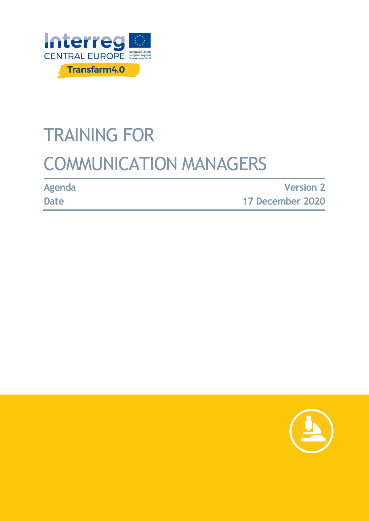

# TRAINING FOR COMMUNICATION MANAGERS

**Agenda**

**Date**

**Version 2 17 December 2020**

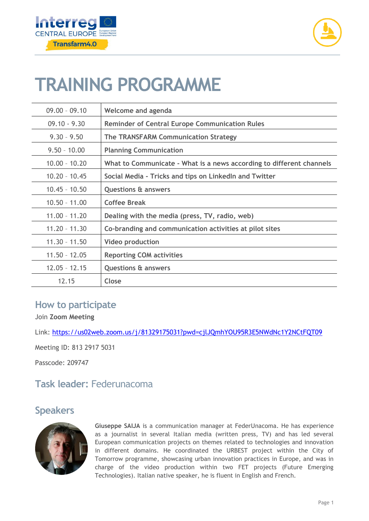



## **TRAINING PROGRAMME**

| $09.00 - 09.10$ | Welcome and agenda                                                   |
|-----------------|----------------------------------------------------------------------|
| $09.10 - 9.30$  | <b>Reminder of Central Europe Communication Rules</b>                |
| $9.30 - 9.50$   | <b>The TRANSFARM Communication Strategy</b>                          |
| $9.50 - 10.00$  | <b>Planning Communication</b>                                        |
| $10.00 - 10.20$ | What to Communicate - What is a news according to different channels |
| $10.20 - 10.45$ | Social Media - Tricks and tips on Linkedln and Twitter               |
| $10.45 - 10.50$ | <b>Questions &amp; answers</b>                                       |
| $10.50 - 11.00$ | <b>Coffee Break</b>                                                  |
| $11.00 - 11.20$ | Dealing with the media (press, TV, radio, web)                       |
| $11.20 - 11.30$ | Co-branding and communication activities at pilot sites              |
| $11.30 - 11.50$ | <b>Video production</b>                                              |
| $11.50 - 12.05$ | <b>Reporting COM activities</b>                                      |
| $12.05 - 12.15$ | <b>Questions &amp; answers</b>                                       |
| 12.15           | Close                                                                |

#### **How to participate**

Join **Zoom Meeting**

Link:<https://us02web.zoom.us/j/81329175031?pwd=cjlJQmhYOU95R3E5NWdNc1Y2NCtFQT09>

Meeting ID: 813 2917 5031

Passcode: 209747

### **Task leader:** Federunacoma

#### **Speakers**



**Giuseppe SAIJA** is a communication manager at FederUnacoma. He has experience as a journalist in several Italian media (written press, TV) and has led several European communication projects on themes related to technologies and innovation in different domains. He coordinated the URBEST project within the City of Tomorrow programme, showcasing urban innovation practices in Europe, and was in charge of the video production within two FET projects (Future Emerging Technologies). Italian native speaker, he is fluent in English and French.